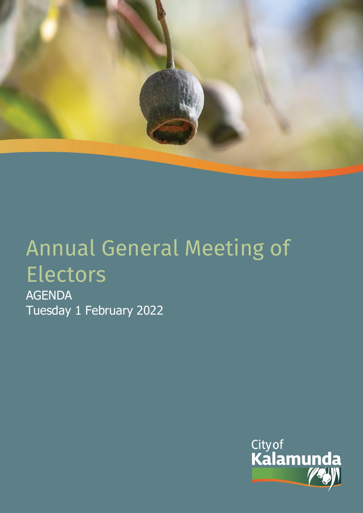

# Annual General Meeting of Electors

AGENDA Tuesday 1 February 2022

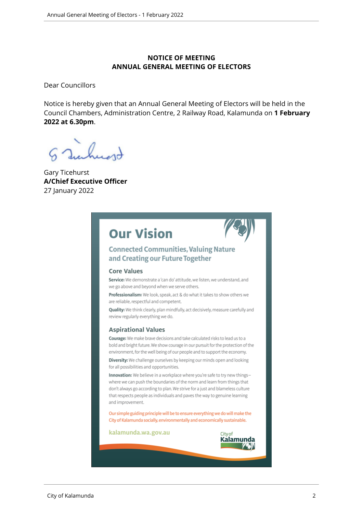#### **NOTICE OF MEETING ANNUAL GENERAL MEETING OF ELECTORS**

Dear Councillors

Notice is hereby given that an Annual General Meeting of Electors will be held in the Council Chambers, Administration Centre, 2 Railway Road, Kalamunda on **1 February 2022 at 6.30pm**.

Gary Ticehurst **A/Chief Executive Officer** 27 January 2022

# **Our Vision**



### **Connected Communities, Valuing Nature** and Creating our Future Together

#### **Core Values**

Service: We demonstrate a 'can do' attitude, we listen, we understand, and we go above and beyond when we serve others.

Professionalism: We look, speak, act & do what it takes to show others we are reliable, respectful and competent.

Quality: We think clearly, plan mindfully, act decisively, measure carefully and review regularly everything we do.

#### **Aspirational Values**

Courage: We make brave decisions and take calculated risks to lead us to a bold and bright future. We show courage in our pursuit for the protection of the environment, for the well being of our people and to support the economy.

Diversity: We challenge ourselves by keeping our minds open and looking for all possibilities and opportunities.

Innovation: We believe in a workplace where you're safe to try new thingswhere we can push the boundaries of the norm and learn from things that don't always go according to plan. We strive for a just and blameless culture that respects people as individuals and paves the way to genuine learning and improvement.

Our simple guiding principle will be to ensure everything we do will make the City of Kalamunda socially, environmentally and economically sustainable.

kalamunda.wa.gov.au

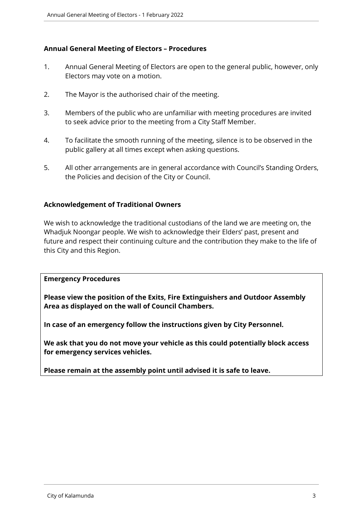#### **Annual General Meeting of Electors – Procedures**

- 1. Annual General Meeting of Electors are open to the general public, however, only Electors may vote on a motion.
- 2. The Mayor is the authorised chair of the meeting.
- 3. Members of the public who are unfamiliar with meeting procedures are invited to seek advice prior to the meeting from a City Staff Member.
- 4. To facilitate the smooth running of the meeting, silence is to be observed in the public gallery at all times except when asking questions.
- 5. All other arrangements are in general accordance with Council's Standing Orders, the Policies and decision of the City or Council.

#### **Acknowledgement of Traditional Owners**

We wish to acknowledge the traditional custodians of the land we are meeting on, the Whadjuk Noongar people. We wish to acknowledge their Elders' past, present and future and respect their continuing culture and the contribution they make to the life of this City and this Region.

#### **Emergency Procedures**

**Please view the position of the Exits, Fire Extinguishers and Outdoor Assembly Area as displayed on the wall of Council Chambers.**

**In case of an emergency follow the instructions given by City Personnel.** 

**We ask that you do not move your vehicle as this could potentially block access for emergency services vehicles.** 

**Please remain at the assembly point until advised it is safe to leave.**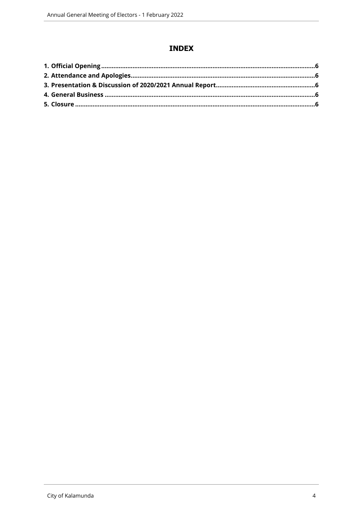# **INDEX**